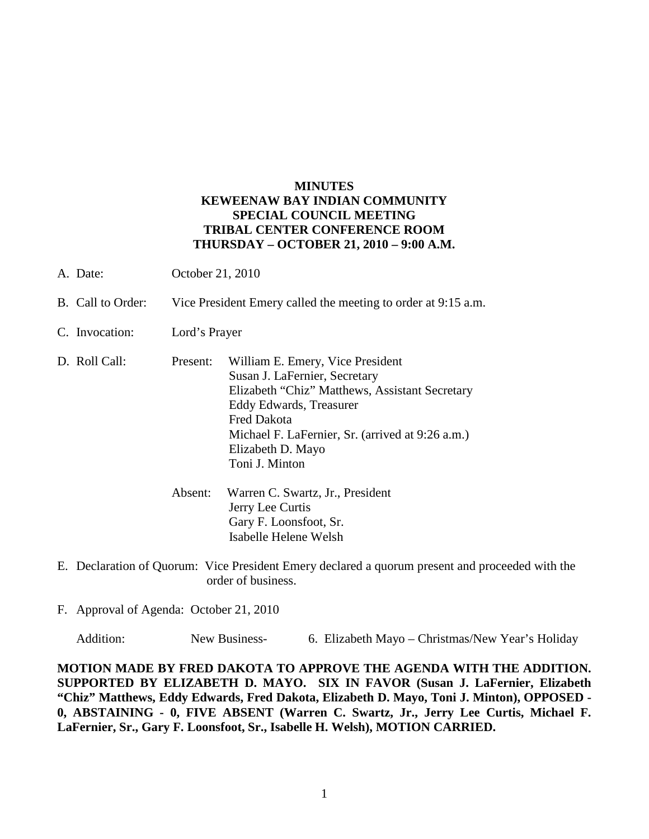## **MINUTES KEWEENAW BAY INDIAN COMMUNITY SPECIAL COUNCIL MEETING TRIBAL CENTER CONFERENCE ROOM THURSDAY – OCTOBER 21, 2010 – 9:00 A.M.**

- A. Date: October 21, 2010
- B. Call to Order: Vice President Emery called the meeting to order at 9:15 a.m.
- C. Invocation: Lord's Prayer
- D. Roll Call: Present: William E. Emery, Vice President Susan J. LaFernier, Secretary Elizabeth "Chiz" Matthews, Assistant Secretary Eddy Edwards, Treasurer Fred Dakota Michael F. LaFernier, Sr. (arrived at 9:26 a.m.) Elizabeth D. Mayo Toni J. Minton
	- Absent: Warren C. Swartz, Jr., President Jerry Lee Curtis Gary F. Loonsfoot, Sr. Isabelle Helene Welsh
- E. Declaration of Quorum: Vice President Emery declared a quorum present and proceeded with the order of business.
- F. Approval of Agenda: October 21, 2010

Addition: New Business- 6. Elizabeth Mayo – Christmas/New Year's Holiday

**MOTION MADE BY FRED DAKOTA TO APPROVE THE AGENDA WITH THE ADDITION. SUPPORTED BY ELIZABETH D. MAYO. SIX IN FAVOR (Susan J. LaFernier, Elizabeth "Chiz" Matthews, Eddy Edwards, Fred Dakota, Elizabeth D. Mayo, Toni J. Minton), OPPOSED - 0, ABSTAINING - 0, FIVE ABSENT (Warren C. Swartz, Jr., Jerry Lee Curtis, Michael F. LaFernier, Sr., Gary F. Loonsfoot, Sr., Isabelle H. Welsh), MOTION CARRIED.**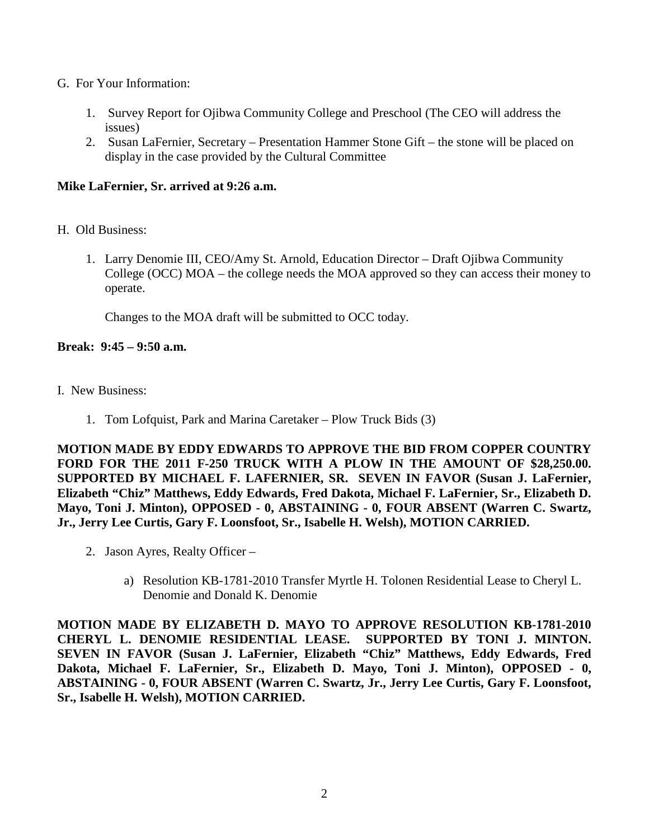- G. For Your Information:
	- 1. Survey Report for Ojibwa Community College and Preschool (The CEO will address the issues)
	- 2. Susan LaFernier, Secretary Presentation Hammer Stone Gift the stone will be placed on display in the case provided by the Cultural Committee

## **Mike LaFernier, Sr. arrived at 9:26 a.m.**

- H. Old Business:
	- 1. Larry Denomie III, CEO/Amy St. Arnold, Education Director Draft Ojibwa Community College (OCC) MOA – the college needs the MOA approved so they can access their money to operate.

Changes to the MOA draft will be submitted to OCC today.

## **Break: 9:45 – 9:50 a.m.**

- I. New Business:
	- 1. Tom Lofquist, Park and Marina Caretaker Plow Truck Bids (3)

**MOTION MADE BY EDDY EDWARDS TO APPROVE THE BID FROM COPPER COUNTRY FORD FOR THE 2011 F-250 TRUCK WITH A PLOW IN THE AMOUNT OF \$28,250.00. SUPPORTED BY MICHAEL F. LAFERNIER, SR. SEVEN IN FAVOR (Susan J. LaFernier, Elizabeth "Chiz" Matthews, Eddy Edwards, Fred Dakota, Michael F. LaFernier, Sr., Elizabeth D. Mayo, Toni J. Minton), OPPOSED - 0, ABSTAINING - 0, FOUR ABSENT (Warren C. Swartz, Jr., Jerry Lee Curtis, Gary F. Loonsfoot, Sr., Isabelle H. Welsh), MOTION CARRIED.** 

- 2. Jason Ayres, Realty Officer
	- a) Resolution KB-1781-2010 Transfer Myrtle H. Tolonen Residential Lease to Cheryl L. Denomie and Donald K. Denomie

**MOTION MADE BY ELIZABETH D. MAYO TO APPROVE RESOLUTION KB-1781-2010 CHERYL L. DENOMIE RESIDENTIAL LEASE. SUPPORTED BY TONI J. MINTON. SEVEN IN FAVOR (Susan J. LaFernier, Elizabeth "Chiz" Matthews, Eddy Edwards, Fred Dakota, Michael F. LaFernier, Sr., Elizabeth D. Mayo, Toni J. Minton), OPPOSED - 0, ABSTAINING - 0, FOUR ABSENT (Warren C. Swartz, Jr., Jerry Lee Curtis, Gary F. Loonsfoot, Sr., Isabelle H. Welsh), MOTION CARRIED.**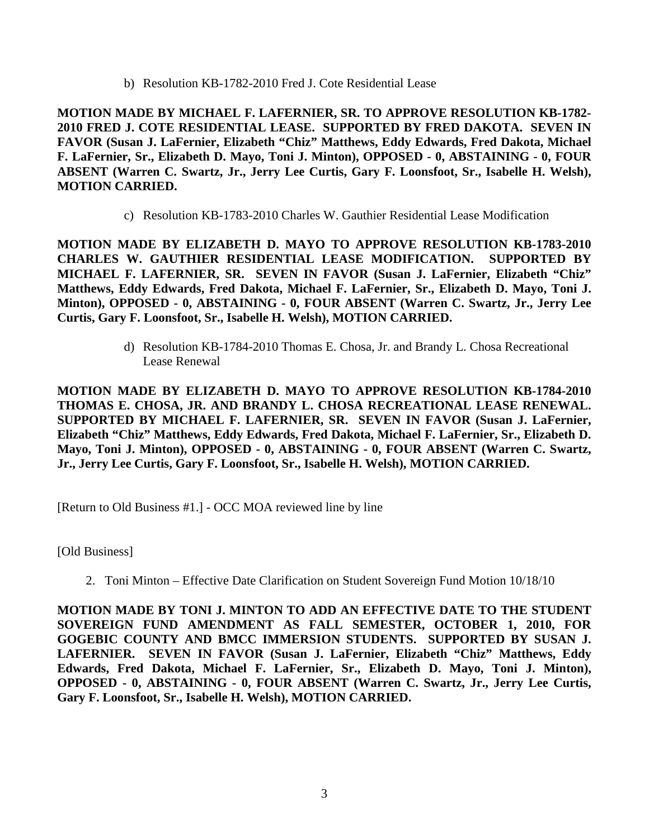b) Resolution KB-1782-2010 Fred J. Cote Residential Lease

**MOTION MADE BY MICHAEL F. LAFERNIER, SR. TO APPROVE RESOLUTION KB-1782- 2010 FRED J. COTE RESIDENTIAL LEASE. SUPPORTED BY FRED DAKOTA. SEVEN IN FAVOR (Susan J. LaFernier, Elizabeth "Chiz" Matthews, Eddy Edwards, Fred Dakota, Michael F. LaFernier, Sr., Elizabeth D. Mayo, Toni J. Minton), OPPOSED - 0, ABSTAINING - 0, FOUR ABSENT (Warren C. Swartz, Jr., Jerry Lee Curtis, Gary F. Loonsfoot, Sr., Isabelle H. Welsh), MOTION CARRIED.** 

c) Resolution KB-1783-2010 Charles W. Gauthier Residential Lease Modification

**MOTION MADE BY ELIZABETH D. MAYO TO APPROVE RESOLUTION KB-1783-2010 CHARLES W. GAUTHIER RESIDENTIAL LEASE MODIFICATION. SUPPORTED BY MICHAEL F. LAFERNIER, SR. SEVEN IN FAVOR (Susan J. LaFernier, Elizabeth "Chiz" Matthews, Eddy Edwards, Fred Dakota, Michael F. LaFernier, Sr., Elizabeth D. Mayo, Toni J. Minton), OPPOSED - 0, ABSTAINING - 0, FOUR ABSENT (Warren C. Swartz, Jr., Jerry Lee Curtis, Gary F. Loonsfoot, Sr., Isabelle H. Welsh), MOTION CARRIED.**

> d) Resolution KB-1784-2010 Thomas E. Chosa, Jr. and Brandy L. Chosa Recreational Lease Renewal

**MOTION MADE BY ELIZABETH D. MAYO TO APPROVE RESOLUTION KB-1784-2010 THOMAS E. CHOSA, JR. AND BRANDY L. CHOSA RECREATIONAL LEASE RENEWAL. SUPPORTED BY MICHAEL F. LAFERNIER, SR. SEVEN IN FAVOR (Susan J. LaFernier, Elizabeth "Chiz" Matthews, Eddy Edwards, Fred Dakota, Michael F. LaFernier, Sr., Elizabeth D. Mayo, Toni J. Minton), OPPOSED - 0, ABSTAINING - 0, FOUR ABSENT (Warren C. Swartz, Jr., Jerry Lee Curtis, Gary F. Loonsfoot, Sr., Isabelle H. Welsh), MOTION CARRIED.** 

[Return to Old Business #1.] - OCC MOA reviewed line by line

[Old Business]

2. Toni Minton – Effective Date Clarification on Student Sovereign Fund Motion 10/18/10

**MOTION MADE BY TONI J. MINTON TO ADD AN EFFECTIVE DATE TO THE STUDENT SOVEREIGN FUND AMENDMENT AS FALL SEMESTER, OCTOBER 1, 2010, FOR GOGEBIC COUNTY AND BMCC IMMERSION STUDENTS. SUPPORTED BY SUSAN J. LAFERNIER. SEVEN IN FAVOR (Susan J. LaFernier, Elizabeth "Chiz" Matthews, Eddy Edwards, Fred Dakota, Michael F. LaFernier, Sr., Elizabeth D. Mayo, Toni J. Minton), OPPOSED - 0, ABSTAINING - 0, FOUR ABSENT (Warren C. Swartz, Jr., Jerry Lee Curtis, Gary F. Loonsfoot, Sr., Isabelle H. Welsh), MOTION CARRIED.**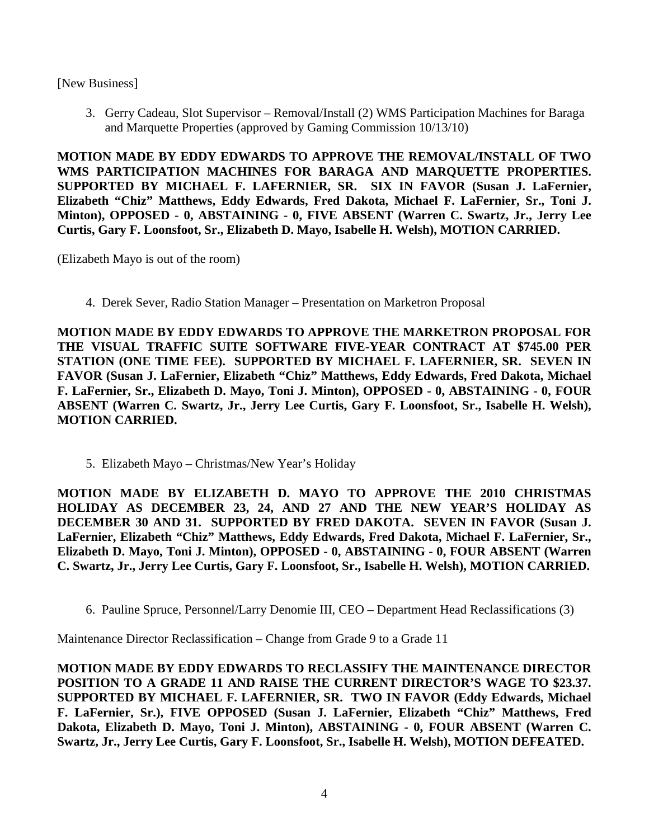[New Business]

3. Gerry Cadeau, Slot Supervisor – Removal/Install (2) WMS Participation Machines for Baraga and Marquette Properties (approved by Gaming Commission 10/13/10)

**MOTION MADE BY EDDY EDWARDS TO APPROVE THE REMOVAL/INSTALL OF TWO WMS PARTICIPATION MACHINES FOR BARAGA AND MARQUETTE PROPERTIES. SUPPORTED BY MICHAEL F. LAFERNIER, SR. SIX IN FAVOR (Susan J. LaFernier, Elizabeth "Chiz" Matthews, Eddy Edwards, Fred Dakota, Michael F. LaFernier, Sr., Toni J. Minton), OPPOSED - 0, ABSTAINING - 0, FIVE ABSENT (Warren C. Swartz, Jr., Jerry Lee Curtis, Gary F. Loonsfoot, Sr., Elizabeth D. Mayo, Isabelle H. Welsh), MOTION CARRIED.** 

(Elizabeth Mayo is out of the room)

4. Derek Sever, Radio Station Manager – Presentation on Marketron Proposal

**MOTION MADE BY EDDY EDWARDS TO APPROVE THE MARKETRON PROPOSAL FOR THE VISUAL TRAFFIC SUITE SOFTWARE FIVE-YEAR CONTRACT AT \$745.00 PER STATION (ONE TIME FEE). SUPPORTED BY MICHAEL F. LAFERNIER, SR. SEVEN IN FAVOR (Susan J. LaFernier, Elizabeth "Chiz" Matthews, Eddy Edwards, Fred Dakota, Michael F. LaFernier, Sr., Elizabeth D. Mayo, Toni J. Minton), OPPOSED - 0, ABSTAINING - 0, FOUR ABSENT (Warren C. Swartz, Jr., Jerry Lee Curtis, Gary F. Loonsfoot, Sr., Isabelle H. Welsh), MOTION CARRIED.**

5. Elizabeth Mayo – Christmas/New Year's Holiday

**MOTION MADE BY ELIZABETH D. MAYO TO APPROVE THE 2010 CHRISTMAS HOLIDAY AS DECEMBER 23, 24, AND 27 AND THE NEW YEAR'S HOLIDAY AS DECEMBER 30 AND 31. SUPPORTED BY FRED DAKOTA. SEVEN IN FAVOR (Susan J. LaFernier, Elizabeth "Chiz" Matthews, Eddy Edwards, Fred Dakota, Michael F. LaFernier, Sr., Elizabeth D. Mayo, Toni J. Minton), OPPOSED - 0, ABSTAINING - 0, FOUR ABSENT (Warren C. Swartz, Jr., Jerry Lee Curtis, Gary F. Loonsfoot, Sr., Isabelle H. Welsh), MOTION CARRIED.** 

6. Pauline Spruce, Personnel/Larry Denomie III, CEO – Department Head Reclassifications (3)

Maintenance Director Reclassification – Change from Grade 9 to a Grade 11

**MOTION MADE BY EDDY EDWARDS TO RECLASSIFY THE MAINTENANCE DIRECTOR POSITION TO A GRADE 11 AND RAISE THE CURRENT DIRECTOR'S WAGE TO \$23.37. SUPPORTED BY MICHAEL F. LAFERNIER, SR. TWO IN FAVOR (Eddy Edwards, Michael F. LaFernier, Sr.), FIVE OPPOSED (Susan J. LaFernier, Elizabeth "Chiz" Matthews, Fred Dakota, Elizabeth D. Mayo, Toni J. Minton), ABSTAINING - 0, FOUR ABSENT (Warren C. Swartz, Jr., Jerry Lee Curtis, Gary F. Loonsfoot, Sr., Isabelle H. Welsh), MOTION DEFEATED.**